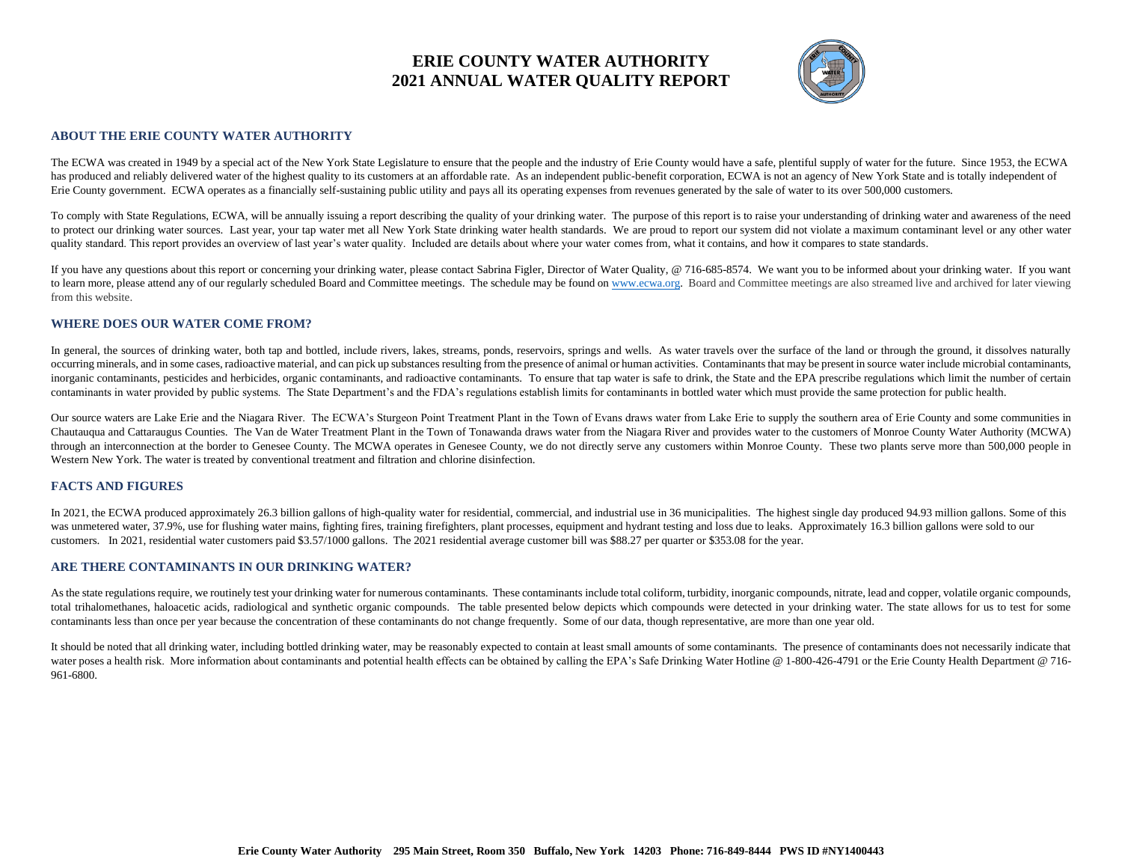

#### **ABOUT THE ERIE COUNTY WATER AUTHORITY**

The ECWA was created in 1949 by a special act of the New York State Legislature to ensure that the people and the industry of Erie County would have a safe, plentiful supply of water for the future. Since 1953, the ECWA has produced and reliably delivered water of the highest quality to its customers at an affordable rate. As an independent public-benefit corporation, ECWA is not an agency of New York State and is totally independent of Erie County government. ECWA operates as a financially self-sustaining public utility and pays all its operating expenses from revenues generated by the sale of water to its over 500,000 customers.

To comply with State Regulations, ECWA, will be annually issuing a report describing the quality of your drinking water. The purpose of this report is to raise your understanding of drinking water and awareness of the need to protect our drinking water sources. Last year, your tap water met all New York State drinking water health standards. We are proud to report our system did not violate a maximum contaminant level or any other water quality standard. This report provides an overview of last year's water quality. Included are details about where your water comes from, what it contains, and how it compares to state standards.

If you have any questions about this report or concerning your drinking water, please contact Sabrina Figler, Director of Water Quality, @ 716-685-8574. We want you to be informed about your drinking water. If you want to learn more, please attend any of our regularly scheduled Board and Committee meetings. The schedule may be found o[n www.ecwa.org.](http://www.ecwa.org/) Board and Committee meetings are also streamed live and archived for later viewing from this website.

#### **WHERE DOES OUR WATER COME FROM?**

In general, the sources of drinking water, both tap and bottled, include rivers, lakes, streams, ponds, reservoirs, springs and wells. As water travels over the surface of the land or through the ground, it dissolves natur occurring minerals, and in some cases, radioactive material, and can pick up substances resulting from the presence of animal or human activities. Contaminants that may be present in source water include microbial contamin inorganic contaminants, pesticides and herbicides, organic contaminants, and radioactive contaminants. To ensure that tap water is safe to drink, the State and the EPA prescribe regulations which limit the number of certai contaminants in water provided by public systems. The State Department's and the FDA's regulations establish limits for contaminants in bottled water which must provide the same protection for public health.

Our source waters are Lake Erie and the Niagara River. The ECWA's Sturgeon Point Treatment Plant in the Town of Evans draws water from Lake Erie to supply the southern area of Erie County and some communities in Chautauqua and Cattaraugus Counties. The Van de Water Treatment Plant in the Town of Tonawanda draws water from the Niagara River and provides water to the customers of Monroe County Water Authority (MCWA) through an interconnection at the border to Genesee County. The MCWA operates in Genesee County, we do not directly serve any customers within Monroe County. These two plants serve more than 500,000 people in Western New York. The water is treated by conventional treatment and filtration and chlorine disinfection.

#### **FACTS AND FIGURES**

In 2021, the ECWA produced approximately 26.3 billion gallons of high-quality water for residential, commercial, and industrial use in 36 municipalities. The highest single day produced 94.93 million gallons. Some of this was unmetered water, 37.9%, use for flushing water mains, fighting fires, training firefighters, plant processes, equipment and hydrant testing and loss due to leaks. Approximately 16.3 billion gallons were sold to our customers. In 2021, residential water customers paid \$3.57/1000 gallons. The 2021 residential average customer bill was \$88.27 per quarter or \$353.08 for the year.

#### **ARE THERE CONTAMINANTS IN OUR DRINKING WATER?**

As the state regulations require, we routinely test your drinking water for numerous contaminants. These contaminants include total coliform, turbidity, inorganic compounds, nitrate, lead and copper, volatile organic compo total trihalomethanes, haloacetic acids, radiological and synthetic organic compounds. The table presented below depicts which compounds were detected in your drinking water. The state allows for us to test for some contaminants less than once per year because the concentration of these contaminants do not change frequently. Some of our data, though representative, are more than one year old.

It should be noted that all drinking water, including bottled drinking water, may be reasonably expected to contain at least small amounts of some contaminants. The presence of contaminants does not necessarily indicate th water poses a health risk. More information about contaminants and potential health effects can be obtained by calling the EPA's Safe Drinking Water Hotline @ 1-800-426-4791 or the Erie County Health Department @ 716-961-6800.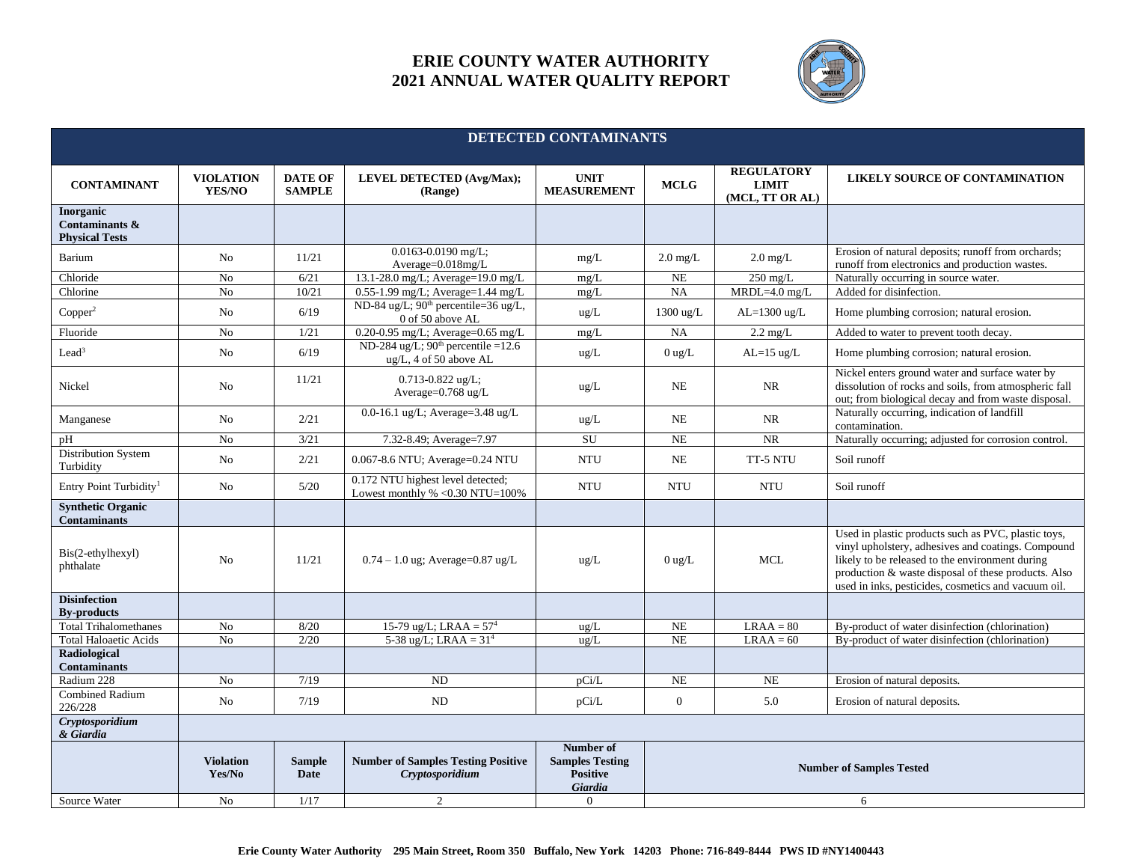

| DETECTED CONTAMINANTS                                |                            |                                 |                                                                                |                                                                   |                                 |                                                      |                                                                                                                                                                                                                                                                            |
|------------------------------------------------------|----------------------------|---------------------------------|--------------------------------------------------------------------------------|-------------------------------------------------------------------|---------------------------------|------------------------------------------------------|----------------------------------------------------------------------------------------------------------------------------------------------------------------------------------------------------------------------------------------------------------------------------|
|                                                      |                            |                                 |                                                                                |                                                                   |                                 |                                                      |                                                                                                                                                                                                                                                                            |
| <b>CONTAMINANT</b>                                   | <b>VIOLATION</b><br>YES/NO | <b>DATE OF</b><br><b>SAMPLE</b> | <b>LEVEL DETECTED (Avg/Max);</b><br>(Range)                                    | <b>UNIT</b><br><b>MEASUREMENT</b>                                 | <b>MCLG</b>                     | <b>REGULATORY</b><br><b>LIMIT</b><br>(MCL, TT OR AL) | LIKELY SOURCE OF CONTAMINATION                                                                                                                                                                                                                                             |
| Inorganic<br>Contaminants &<br><b>Physical Tests</b> |                            |                                 |                                                                                |                                                                   |                                 |                                                      |                                                                                                                                                                                                                                                                            |
| Barium                                               | No                         | 11/21                           | 0.0163-0.0190 mg/L;<br>Average=0.018mg/L                                       | mg/L                                                              | $2.0 \text{ mg/L}$              | $2.0 \text{ mg/L}$                                   | Erosion of natural deposits; runoff from orchards;<br>runoff from electronics and production wastes.                                                                                                                                                                       |
| Chloride                                             | No                         | 6/21                            | 13.1-28.0 mg/L; Average=19.0 mg/L                                              | mg/L                                                              | NE                              | $250$ mg/L                                           | Naturally occurring in source water.                                                                                                                                                                                                                                       |
| Chlorine                                             | No                         | 10/21                           | 0.55-1.99 mg/L; Average=1.44 mg/L                                              | mg/L                                                              | NA                              | $MRDL=4.0$ mg/L                                      | Added for disinfection.                                                                                                                                                                                                                                                    |
| Copper <sup>2</sup>                                  | N <sub>o</sub>             | 6/19                            | ND-84 ug/L; 90 <sup>th</sup> percentile=36 ug/L,<br>0 of 50 above AL           | ug/L                                                              | 1300 ug/L                       | AL=1300 ug/L                                         | Home plumbing corrosion; natural erosion.                                                                                                                                                                                                                                  |
| Fluoride                                             | No                         | 1/21                            | 0.20-0.95 mg/L; Average=0.65 mg/L                                              | mg/L                                                              | NA                              | $2.2 \text{ mg/L}$                                   | Added to water to prevent tooth decay.                                                                                                                                                                                                                                     |
| Lead <sup>3</sup>                                    | No                         | 6/19                            | ND-284 ug/L; $90th$ percentile =12.6<br>ug/L, 4 of 50 above AL                 | ug/L                                                              | $0$ ug/L                        | $AL=15$ ug/L                                         | Home plumbing corrosion; natural erosion.                                                                                                                                                                                                                                  |
| Nickel                                               | N <sub>o</sub>             | 11/21                           | 0.713-0.822 ug/L;<br>Average=0.768 ug/L                                        | $\rm ug/L$                                                        | NE                              | <b>NR</b>                                            | Nickel enters ground water and surface water by<br>dissolution of rocks and soils, from atmospheric fall<br>out; from biological decay and from waste disposal.                                                                                                            |
| Manganese                                            | N <sub>o</sub>             | 2/21                            | 0.0-16.1 ug/L; Average=3.48 ug/L                                               | ug/L                                                              | NE.                             | <b>NR</b>                                            | Naturally occurring, indication of landfill<br>contamination.                                                                                                                                                                                                              |
| pH                                                   | No                         | 3/21                            | 7.32-8.49; Average=7.97                                                        | SU                                                                | <b>NE</b>                       | <b>NR</b>                                            | Naturally occurring; adjusted for corrosion control.                                                                                                                                                                                                                       |
| <b>Distribution System</b><br>Turbidity              | N <sub>o</sub>             | 2/21                            | 0.067-8.6 NTU; Average=0.24 NTU                                                | <b>NTU</b>                                                        | <b>NE</b>                       | TT-5 NTU                                             | Soil runoff                                                                                                                                                                                                                                                                |
| Entry Point Turbidity <sup>1</sup>                   | No                         | 5/20                            | 0.172 NTU highest level detected;<br>Lowest monthly $% < 0.30$ NTU=100%        | <b>NTU</b>                                                        | <b>NTU</b>                      | <b>NTU</b>                                           | Soil runoff                                                                                                                                                                                                                                                                |
| <b>Synthetic Organic</b><br><b>Contaminants</b>      |                            |                                 |                                                                                |                                                                   |                                 |                                                      |                                                                                                                                                                                                                                                                            |
| Bis(2-ethylhexyl)<br>phthalate                       | No                         | 11/21                           | $0.74 - 1.0$ ug; Average= $0.87$ ug/L                                          | $\text{ug/L}$                                                     | $0$ ug/L                        | <b>MCL</b>                                           | Used in plastic products such as PVC, plastic toys,<br>vinyl upholstery, adhesives and coatings. Compound<br>likely to be released to the environment during<br>production & waste disposal of these products. Also<br>used in inks, pesticides, cosmetics and vacuum oil. |
| <b>Disinfection</b><br><b>By-products</b>            |                            |                                 |                                                                                |                                                                   |                                 |                                                      |                                                                                                                                                                                                                                                                            |
| <b>Total Trihalomethanes</b>                         | No                         | 8/20                            | 15-79 ug/L; LRAA = $574$                                                       | ug/L                                                              | NE                              | $LRAA = 80$                                          | By-product of water disinfection (chlorination)                                                                                                                                                                                                                            |
| <b>Total Haloaetic Acids</b>                         | No                         | 2/20                            | 5-38 ug/L; LRAA = $314$                                                        | ug/L                                                              | NE                              | $LRAA = 60$                                          | By-product of water disinfection (chlorination)                                                                                                                                                                                                                            |
| Radiological<br><b>Contaminants</b>                  |                            |                                 |                                                                                |                                                                   |                                 |                                                      |                                                                                                                                                                                                                                                                            |
| Radium 228                                           | No                         | 7/19                            | <b>ND</b>                                                                      | pCi/L                                                             | <b>NE</b>                       | <b>NE</b>                                            | Erosion of natural deposits.                                                                                                                                                                                                                                               |
| <b>Combined Radium</b><br>226/228                    | N <sub>o</sub>             | 7/19                            | <b>ND</b>                                                                      | pCi/L                                                             | $\overline{0}$                  | 5.0                                                  | Erosion of natural deposits.                                                                                                                                                                                                                                               |
| Cryptosporidium<br>& Giardia                         |                            |                                 |                                                                                |                                                                   |                                 |                                                      |                                                                                                                                                                                                                                                                            |
|                                                      | <b>Violation</b><br>Yes/No | <b>Sample</b><br>Date           | <b>Number of Samples Testing Positive</b><br>Cryptosporidium<br>$\overline{2}$ | Number of<br><b>Samples Testing</b><br><b>Positive</b><br>Giardia | <b>Number of Samples Tested</b> |                                                      |                                                                                                                                                                                                                                                                            |
| Source Water                                         | No                         | 1/17                            |                                                                                | $\mathbf{0}$                                                      |                                 |                                                      | 6                                                                                                                                                                                                                                                                          |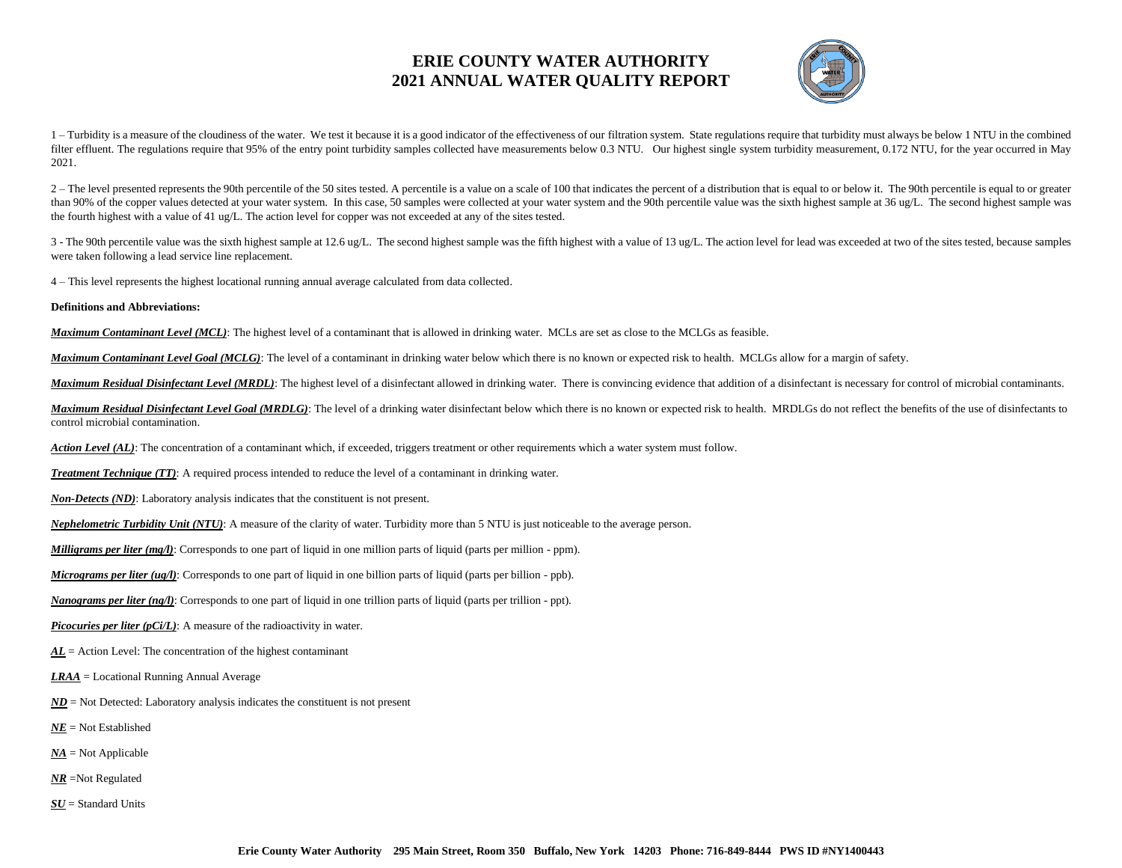

1 - Turbidity is a measure of the cloudiness of the water. We test it because it is a good indicator of the effectiveness of our filtration system. State regulations require that turbidity must always be below 1 NTU in the filter effluent. The regulations require that 95% of the entry point turbidity samples collected have measurements below 0.3 NTU. Our highest single system turbidity measurement, 0.172 NTU, for the year occurred in May 2021.

2 – The level presented represents the 90th percentile of the 50 sites tested. A percentile is a value on a scale of 100 that indicates the percent of a distribution that is equal to or below it. The 90th percentile is equ than 90% of the copper values detected at your water system. In this case, 50 samples were collected at your water system and the 90th percentile value was the sixth highest sample at 36 ug/L. The second highest sample was the fourth highest with a value of 41 ug/L. The action level for copper was not exceeded at any of the sites tested.

3 - The 90th percentile value was the sixth highest sample at 12.6 ug/L. The second highest sample was the fifth highest with a value of 13 ug/L. The action level for lead was exceeded at two of the sites tested, because were taken following a lead service line replacement.

4 – This level represents the highest locational running annual average calculated from data collected*.*

**Definitions and Abbreviations:**

*Maximum Contaminant Level (MCL)*: The highest level of a contaminant that is allowed in drinking water. MCLs are set as close to the MCLGs as feasible.

*Maximum Contaminant Level Goal (MCLG)*: The level of a contaminant in drinking water below which there is no known or expected risk to health. MCLGs allow for a margin of safety.

Maximum Residual Disinfectant Level (MRDL): The highest level of a disinfectant allowed in drinking water. There is convincing evidence that addition of a disinfectant is necessary for control of microbial contaminants.

*Maximum Residual Disinfectant Level Goal (MRDLG)*: The level of a drinking water disinfectant below which there is no known or expected risk to health. MRDLGs do not reflect the benefits of the use of disinfectants to control microbial contamination.

*Action Level (AL)*: The concentration of a contaminant which, if exceeded, triggers treatment or other requirements which a water system must follow.

*Treatment Technique (TT)*: A required process intended to reduce the level of a contaminant in drinking water.

*Non-Detects (ND)*: Laboratory analysis indicates that the constituent is not present.

*Nephelometric Turbidity Unit (NTU)*: A measure of the clarity of water. Turbidity more than 5 NTU is just noticeable to the average person.

*Milligrams per liter (mg/l)*: Corresponds to one part of liquid in one million parts of liquid (parts per million - ppm).

*Micrograms per liter (ug/l)*: Corresponds to one part of liquid in one billion parts of liquid (parts per billion - ppb).

*Nanograms per liter (ng/l)*: Corresponds to one part of liquid in one trillion parts of liquid (parts per trillion - ppt).

*Picocuries per liter (pCi/L)*: A measure of the radioactivity in water.

*AL* = Action Level: The concentration of the highest contaminant

*LRAA* = Locational Running Annual Average

- $ND$  = Not Detected: Laboratory analysis indicates the constituent is not present
- *NE* = Not Established
- *NA* = Not Applicable
- *NR* =Not Regulated
- *SU* = Standard Units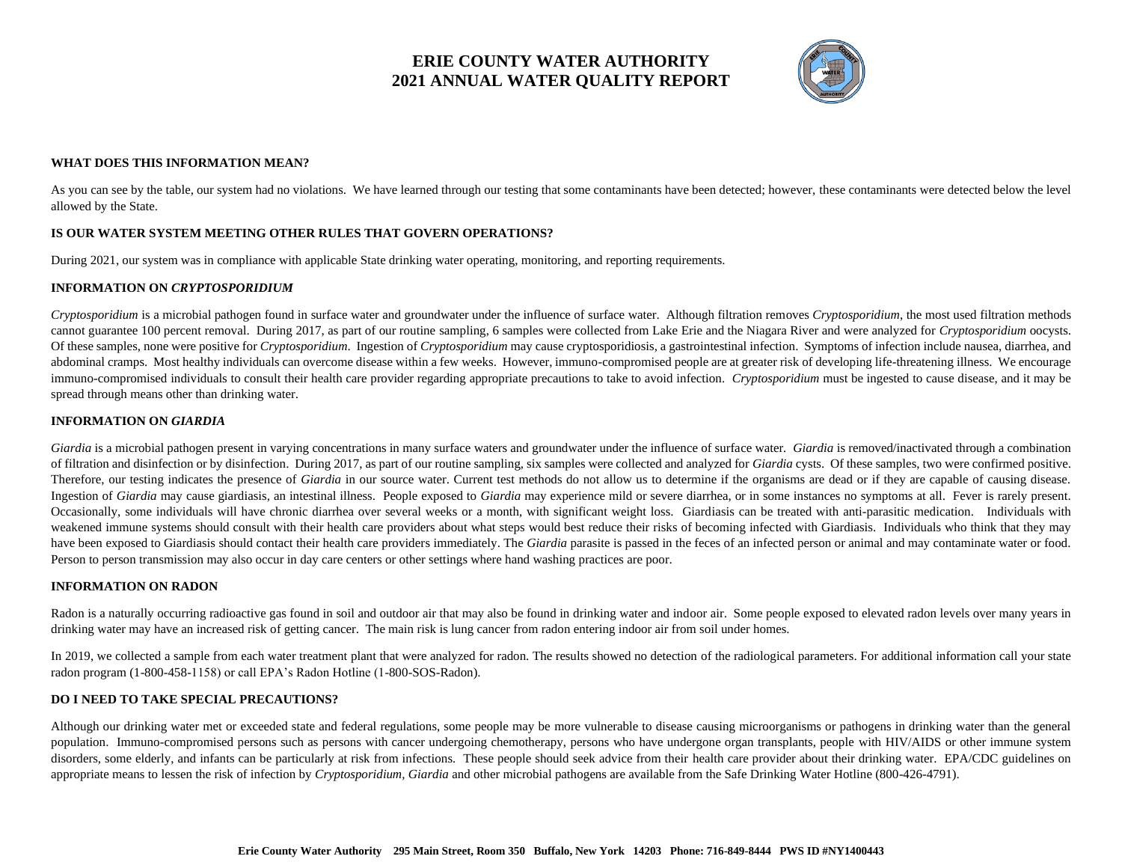

#### **WHAT DOES THIS INFORMATION MEAN?**

As you can see by the table, our system had no violations. We have learned through our testing that some contaminants have been detected; however, these contaminants were detected below the level allowed by the State.

### **IS OUR WATER SYSTEM MEETING OTHER RULES THAT GOVERN OPERATIONS?**

During 2021, our system was in compliance with applicable State drinking water operating, monitoring, and reporting requirements.

### **INFORMATION ON** *CRYPTOSPORIDIUM*

*Cryptosporidium* is a microbial pathogen found in surface water and groundwater under the influence of surface water. Although filtration removes *Cryptosporidium*, the most used filtration methods cannot guarantee 100 percent removal. During 2017, as part of our routine sampling, 6 samples were collected from Lake Erie and the Niagara River and were analyzed for *Cryptosporidium* oocysts. Of these samples, none were positive for *Cryptosporidium*. Ingestion of *Cryptosporidium* may cause cryptosporidiosis, a gastrointestinal infection. Symptoms of infection include nausea, diarrhea, and abdominal cramps. Most healthy individuals can overcome disease within a few weeks. However, immuno-compromised people are at greater risk of developing life-threatening illness. We encourage immuno-compromised individuals to consult their health care provider regarding appropriate precautions to take to avoid infection. *Cryptosporidium* must be ingested to cause disease, and it may be spread through means other than drinking water.

### **INFORMATION ON** *GIARDIA*

*Giardia* is a microbial pathogen present in varying concentrations in many surface waters and groundwater under the influence of surface water*. Giardia* is removed/inactivated through a combination of filtration and disinfection or by disinfection. During 2017, as part of our routine sampling, six samples were collected and analyzed for *Giardia* cysts. Of these samples, two were confirmed positive. Therefore, our testing indicates the presence of *Giardia* in our source water. Current test methods do not allow us to determine if the organisms are dead or if they are capable of causing disease. Ingestion of *Giardia* may cause giardiasis, an intestinal illness. People exposed to *Giardia* may experience mild or severe diarrhea, or in some instances no symptoms at all. Fever is rarely present. Occasionally, some individuals will have chronic diarrhea over several weeks or a month, with significant weight loss. Giardiasis can be treated with anti-parasitic medication. Individuals with weakened immune systems should consult with their health care providers about what steps would best reduce their risks of becoming infected with Giardiasis. Individuals who think that they may have been exposed to Giardiasis should contact their health care providers immediately. The *Giardia* parasite is passed in the feces of an infected person or animal and may contaminate water or food. Person to person transmission may also occur in day care centers or other settings where hand washing practices are poor.

### **INFORMATION ON RADON**

Radon is a naturally occurring radioactive gas found in soil and outdoor air that may also be found in drinking water and indoor air. Some people exposed to elevated radon levels over many years in drinking water may have an increased risk of getting cancer. The main risk is lung cancer from radon entering indoor air from soil under homes.

In 2019, we collected a sample from each water treatment plant that were analyzed for radon. The results showed no detection of the radiological parameters. For additional information call your state radon program (1-800-458-1158) or call EPA's Radon Hotline (1-800-SOS-Radon).

### **DO I NEED TO TAKE SPECIAL PRECAUTIONS?**

Although our drinking water met or exceeded state and federal regulations, some people may be more vulnerable to disease causing microorganisms or pathogens in drinking water than the general population. Immuno-compromised persons such as persons with cancer undergoing chemotherapy, persons who have undergone organ transplants, people with HIV/AIDS or other immune system disorders, some elderly, and infants can be particularly at risk from infections. These people should seek advice from their health care provider about their drinking water. EPA/CDC guidelines on appropriate means to lessen the risk of infection by *Cryptosporidium, Giardia* and other microbial pathogens are available from the Safe Drinking Water Hotline (800-426-4791).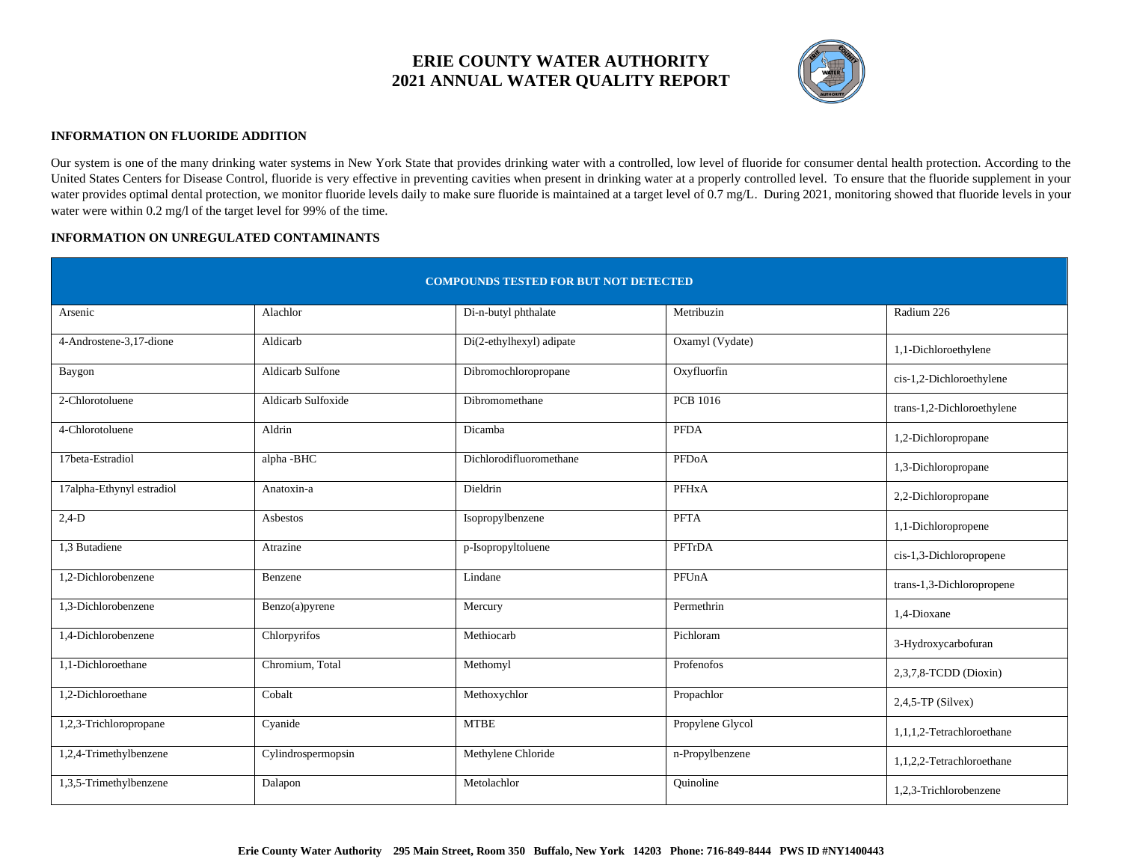

### **INFORMATION ON FLUORIDE ADDITION**

Our system is one of the many drinking water systems in New York State that provides drinking water with a controlled, low level of fluoride for consumer dental health protection. According to the United States Centers for Disease Control, fluoride is very effective in preventing cavities when present in drinking water at a properly controlled level. To ensure that the fluoride supplement in your water provides optimal dental protection, we monitor fluoride levels daily to make sure fluoride is maintained at a target level of 0.7 mg/L. During 2021, monitoring showed that fluoride levels in your water were within 0.2 mg/l of the target level for 99% of the time.

### **INFORMATION ON UNREGULATED CONTAMINANTS**

| <b>COMPOUNDS TESTED FOR BUT NOT DETECTED</b> |                    |                          |                    |                            |  |
|----------------------------------------------|--------------------|--------------------------|--------------------|----------------------------|--|
| Arsenic                                      | Alachlor           | Di-n-butyl phthalate     | Metribuzin         | Radium 226                 |  |
| 4-Androstene-3,17-dione                      | Aldicarb           | Di(2-ethylhexyl) adipate | Oxamyl (Vydate)    | 1,1-Dichloroethylene       |  |
| Baygon                                       | Aldicarb Sulfone   | Dibromochloropropane     | Oxyfluorfin        | cis-1,2-Dichloroethylene   |  |
| 2-Chlorotoluene                              | Aldicarb Sulfoxide | Dibromomethane           | <b>PCB</b> 1016    | trans-1,2-Dichloroethylene |  |
| 4-Chlorotoluene                              | Aldrin             | Dicamba                  | <b>PFDA</b>        | 1,2-Dichloropropane        |  |
| 17beta-Estradiol                             | alpha -BHC         | Dichlorodifluoromethane  | PFD <sub>o</sub> A | 1,3-Dichloropropane        |  |
| 17alpha-Ethynyl estradiol                    | Anatoxin-a         | Dieldrin                 | PFHxA              | 2,2-Dichloropropane        |  |
| $2,4-D$                                      | Asbestos           | Isopropylbenzene         | <b>PFTA</b>        | 1,1-Dichloropropene        |  |
| 1.3 Butadiene                                | Atrazine           | p-Isopropyltoluene       | PFTrDA             | cis-1,3-Dichloropropene    |  |
| 1.2-Dichlorobenzene                          | Benzene            | Lindane                  | PFUnA              | trans-1,3-Dichloropropene  |  |
| 1.3-Dichlorobenzene                          | Benzo(a)pyrene     | Mercury                  | Permethrin         | 1,4-Dioxane                |  |
| 1.4-Dichlorobenzene                          | Chlorpyrifos       | Methiocarb               | Pichloram          | 3-Hydroxycarbofuran        |  |
| 1.1-Dichloroethane                           | Chromium, Total    | Methomyl                 | Profenofos         | 2,3,7,8-TCDD (Dioxin)      |  |
| 1.2-Dichloroethane                           | Cobalt             | Methoxychlor             | Propachlor         | $2,4,5$ -TP (Silvex)       |  |
| 1,2,3-Trichloropropane                       | Cyanide            | <b>MTBE</b>              | Propylene Glycol   | 1,1,1,2-Tetrachloroethane  |  |
| 1,2,4-Trimethylbenzene                       | Cylindrospermopsin | Methylene Chloride       | n-Propylbenzene    | 1,1,2,2-Tetrachloroethane  |  |
| 1,3,5-Trimethylbenzene                       | Dalapon            | Metolachlor              | Ouinoline          | 1,2,3-Trichlorobenzene     |  |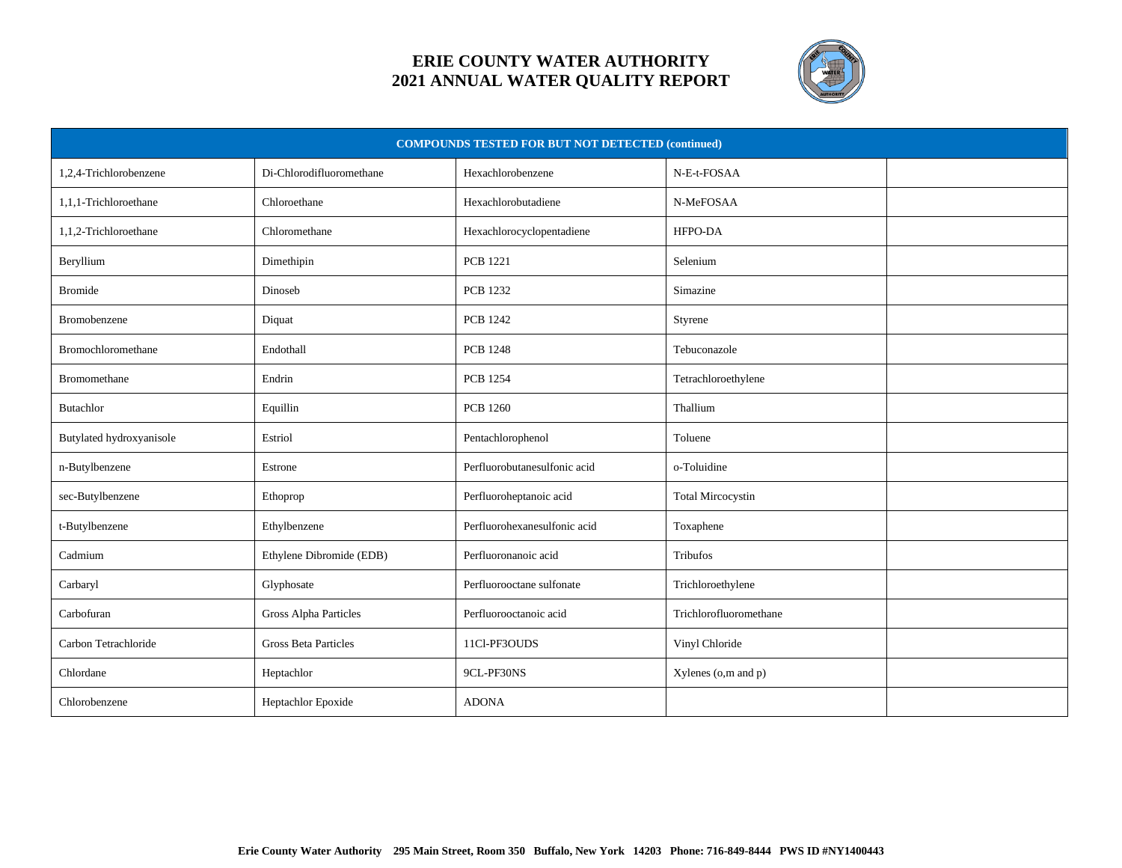

| <b>COMPOUNDS TESTED FOR BUT NOT DETECTED (continued)</b> |                              |                              |                          |  |
|----------------------------------------------------------|------------------------------|------------------------------|--------------------------|--|
| 1,2,4-Trichlorobenzene                                   | Di-Chlorodifluoromethane     | Hexachlorobenzene            | N-E-t-FOSAA              |  |
| 1,1,1-Trichloroethane                                    | Chloroethane                 | Hexachlorobutadiene          | N-MeFOSAA                |  |
| 1,1,2-Trichloroethane                                    | Chloromethane                | Hexachlorocyclopentadiene    | HFPO-DA                  |  |
| Beryllium                                                | Dimethipin                   | <b>PCB 1221</b>              | Selenium                 |  |
| Bromide                                                  | Dinoseb                      | <b>PCB 1232</b>              | Simazine                 |  |
| Bromobenzene                                             | Diquat                       | <b>PCB 1242</b>              | Styrene                  |  |
| Bromochloromethane                                       | Endothall                    | <b>PCB 1248</b>              | Tebuconazole             |  |
| <b>Bromomethane</b>                                      | Endrin                       | <b>PCB 1254</b>              | Tetrachloroethylene      |  |
| Butachlor                                                | Equillin                     | <b>PCB 1260</b>              | Thallium                 |  |
| Butylated hydroxyanisole                                 | Estriol                      | Pentachlorophenol            | Toluene                  |  |
| n-Butylbenzene                                           | Estrone                      | Perfluorobutanesulfonic acid | o-Toluidine              |  |
| sec-Butylbenzene                                         | Ethoprop                     | Perfluoroheptanoic acid      | <b>Total Mircocystin</b> |  |
| t-Butylbenzene                                           | Ethylbenzene                 | Perfluorohexanesulfonic acid | Toxaphene                |  |
| Cadmium                                                  | Ethylene Dibromide (EDB)     | Perfluoronanoic acid         | Tribufos                 |  |
| Carbaryl                                                 | Glyphosate                   | Perfluorooctane sulfonate    | Trichloroethylene        |  |
| Carbofuran                                               | <b>Gross Alpha Particles</b> | Perfluorooctanoic acid       | Trichlorofluoromethane   |  |
| Carbon Tetrachloride                                     | <b>Gross Beta Particles</b>  | 11Cl-PF3OUDS                 | Vinyl Chloride           |  |
| Chlordane                                                | Heptachlor                   | 9CL-PF30NS                   | Xylenes (o,m and p)      |  |
| Chlorobenzene                                            | Heptachlor Epoxide           | <b>ADONA</b>                 |                          |  |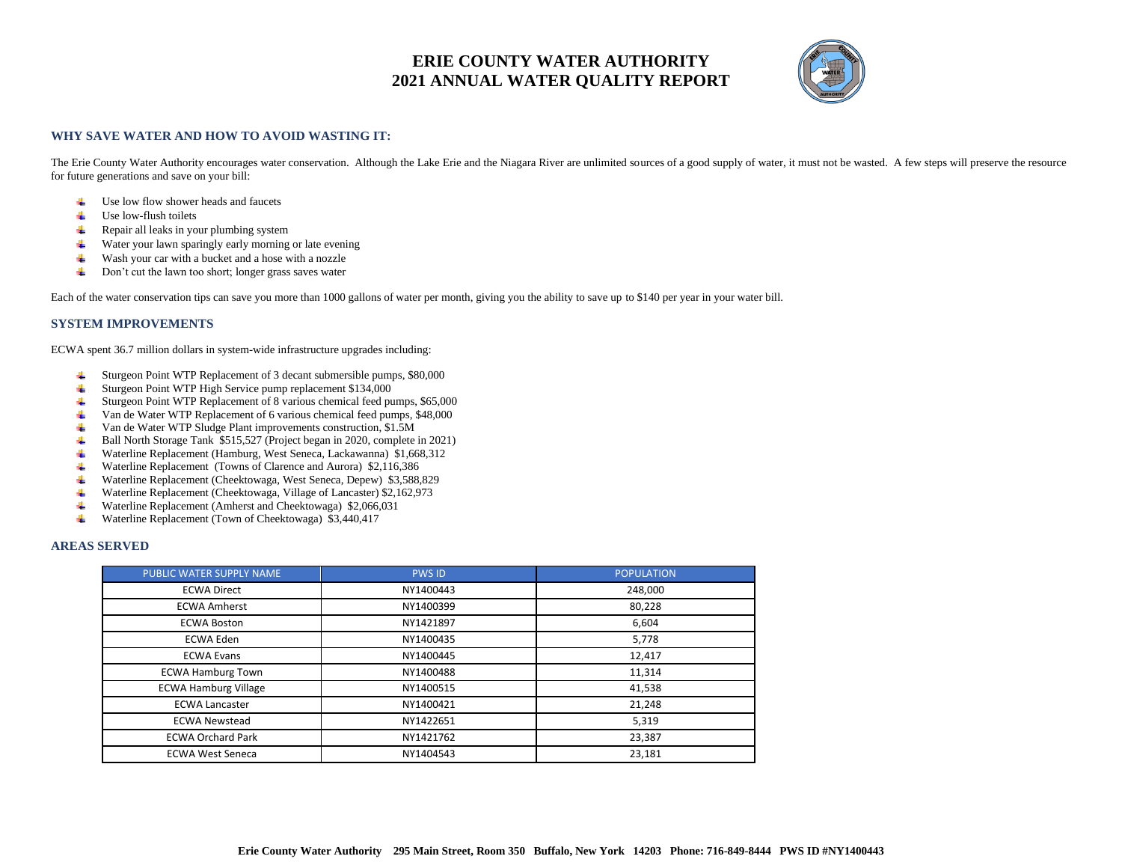

#### **WHY SAVE WATER AND HOW TO AVOID WASTING IT:**

The Erie County Water Authority encourages water conservation. Although the Lake Erie and the Niagara River are unlimited sources of a good supply of water, it must not be wasted. A few steps will preserve the resource for future generations and save on your bill:

- $\ddot{\bullet}$  Use low flow shower heads and faucets
- ₩. Use low-flush toilets
- Repair all leaks in your plumbing system ₩
- Water your lawn sparingly early morning or late evening
- ₩. Wash your car with a bucket and a hose with a nozzle
- Don't cut the lawn too short; longer grass saves water 4.

Each of the water conservation tips can save you more than 1000 gallons of water per month, giving you the ability to save up to \$140 per year in your water bill.

#### **SYSTEM IMPROVEMENTS**

ECWA spent 36.7 million dollars in system-wide infrastructure upgrades including:

- Sturgeon Point WTP Replacement of 3 decant submersible pumps, \$80,000 4.
- Sturgeon Point WTP High Service pump replacement \$134,000 4.
- Sturgeon Point WTP Replacement of 8 various chemical feed pumps, \$65,000 ┻
- Van de Water WTP Replacement of 6 various chemical feed pumps, \$48,000
- Van de Water WTP Sludge Plant improvements construction, \$1.5M ₩.,
- ₩. Ball North Storage Tank \$515,527 (Project began in 2020, complete in 2021)
- 4. Waterline Replacement (Hamburg, West Seneca, Lackawanna) \$1,668,312
- Waterline Replacement (Towns of Clarence and Aurora) \$2,116,386 ₩
- ₩. Waterline Replacement (Cheektowaga, West Seneca, Depew) \$3,588,829
- Waterline Replacement (Cheektowaga, Village of Lancaster) \$2,162,973 4
- 4 Waterline Replacement (Amherst and Cheektowaga) \$2,066,031
- Waterline Replacement (Town of Cheektowaga) \$3,440,417 ₩.

#### **AREAS SERVED**

| PUBLIC WATER SUPPLY NAME    | <b>PWS ID</b> | <b>POPULATION</b> |
|-----------------------------|---------------|-------------------|
| <b>ECWA Direct</b>          | NY1400443     | 248,000           |
| <b>ECWA Amherst</b>         | NY1400399     | 80,228            |
| <b>ECWA Boston</b>          | NY1421897     | 6,604             |
| <b>ECWA Eden</b>            | NY1400435     | 5,778             |
| <b>ECWA Evans</b>           | NY1400445     | 12,417            |
| <b>ECWA Hamburg Town</b>    | NY1400488     | 11,314            |
| <b>ECWA Hamburg Village</b> | NY1400515     | 41,538            |
| <b>ECWA Lancaster</b>       | NY1400421     | 21,248            |
| <b>ECWA Newstead</b>        | NY1422651     | 5,319             |
| <b>ECWA Orchard Park</b>    | NY1421762     | 23,387            |
| <b>ECWA West Seneca</b>     | NY1404543     | 23,181            |